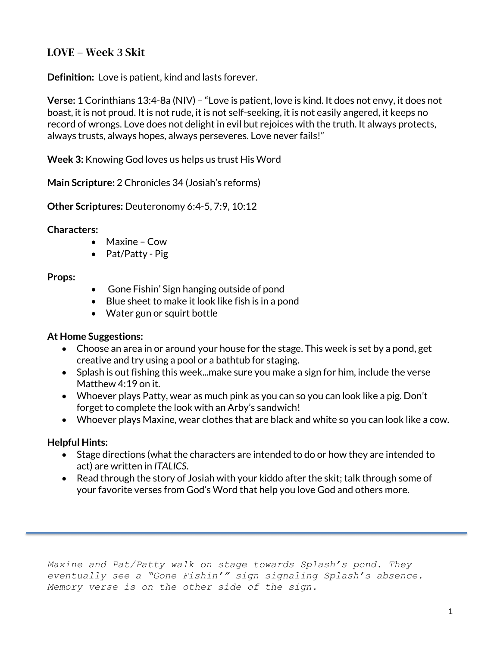# LOVE – Week 3 Skit

**Definition:** Love is patient, kind and lasts forever.

**Verse:** 1 Corinthians 13:4-8a (NIV) – "Love is patient, love is kind. It does not envy, it does not boast, it is not proud. It is not rude, it is not self-seeking, it is not easily angered, it keeps no record of wrongs. Love does not delight in evil but rejoices with the truth. It always protects, always trusts, always hopes, always perseveres. Love never fails!"

**Week 3:** Knowing God loves us helps us trust His Word

**Main Scripture:** 2 Chronicles 34 (Josiah's reforms)

**Other Scriptures:** Deuteronomy 6:4-5, 7:9, 10:12

### **Characters:**

- Maxine Cow
- Pat/Patty Pig

### **Props:**

- Gone Fishin' Sign hanging outside of pond
- Blue sheet to make it look like fish is in a pond
- Water gun or squirt bottle

### **At Home Suggestions:**

- Choose an area in or around your house for the stage. This week is set by a pond, get creative and try using a pool or a bathtub for staging.
- Splash is out fishing this week...make sure you make a sign for him, include the verse Matthew 4:19 on it.
- Whoever plays Patty, wear as much pink as you can so you can look like a pig. Don't forget to complete the look with an Arby's sandwich!
- Whoever plays Maxine, wear clothes that are black and white so you can look like a cow.

## **Helpful Hints:**

- Stage directions (what the characters are intended to do or how they are intended to act) are written in *ITALICS*.
- Read through the story of Josiah with your kiddo after the skit; talk through some of your favorite verses from God's Word that help you love God and others more.

*Maxine and Pat/Patty walk on stage towards Splash's pond. They eventually see a "Gone Fishin'" sign signaling Splash's absence. Memory verse is on the other side of the sign.*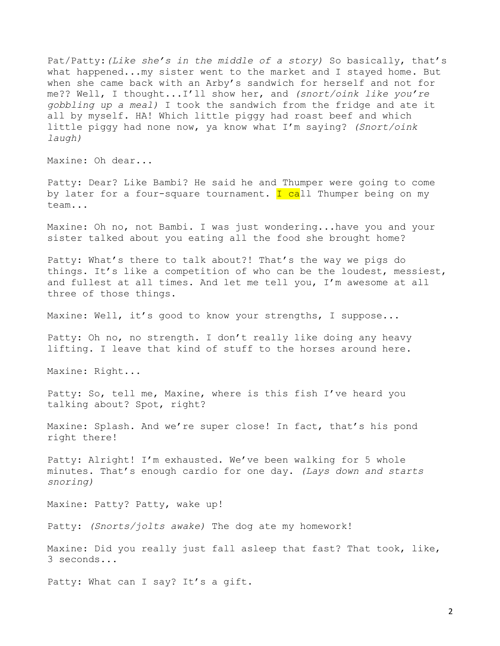Pat/Patty:*(Like she's in the middle of a story)* So basically, that's what happened...my sister went to the market and I stayed home. But when she came back with an Arby's sandwich for herself and not for me?? Well, I thought...I'll show her, and *(snort/oink like you're gobbling up a meal)* I took the sandwich from the fridge and ate it all by myself. HA! Which little piggy had roast beef and which little piggy had none now, ya know what I'm saying? *(Snort/oink laugh)*

Maxine: Oh dear...

Patty: Dear? Like Bambi? He said he and Thumper were going to come by later for a four-square tournament. I call Thumper being on my team...

Maxine: Oh no, not Bambi. I was just wondering...have you and your sister talked about you eating all the food she brought home?

Patty: What's there to talk about?! That's the way we pigs do things. It's like a competition of who can be the loudest, messiest, and fullest at all times. And let me tell you, I'm awesome at all three of those things.

Maxine: Well, it's good to know your strengths, I suppose...

Patty: Oh no, no strength. I don't really like doing any heavy lifting. I leave that kind of stuff to the horses around here.

Maxine: Right...

Patty: So, tell me, Maxine, where is this fish I've heard you talking about? Spot, right?

Maxine: Splash. And we're super close! In fact, that's his pond right there!

Patty: Alright! I'm exhausted. We've been walking for 5 whole minutes. That's enough cardio for one day. *(Lays down and starts snoring)*

Maxine: Patty? Patty, wake up!

Patty: *(Snorts/jolts awake)* The dog ate my homework!

Maxine: Did you really just fall asleep that fast? That took, like, 3 seconds...

Patty: What can I say? It's a gift.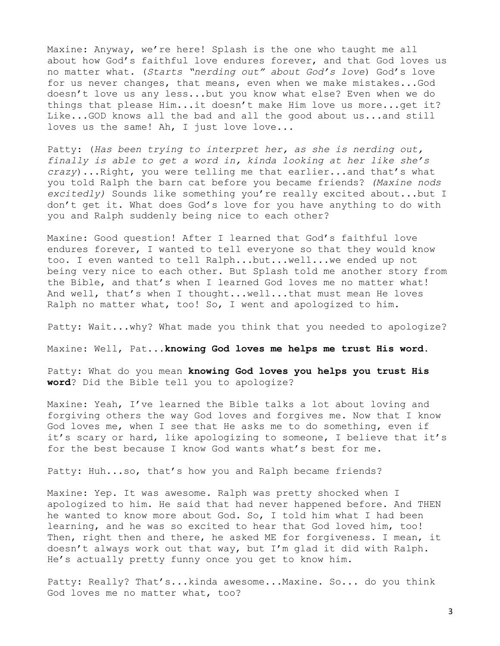Maxine: Anyway, we're here! Splash is the one who taught me all about how God's faithful love endures forever, and that God loves us no matter what. (*Starts "nerding out" about God's love*) God's love for us never changes, that means, even when we make mistakes...God doesn't love us any less...but you know what else? Even when we do things that please Him...it doesn't make Him love us more...get it? Like...GOD knows all the bad and all the good about us...and still loves us the same! Ah, I just love love...

Patty: (*Has been trying to interpret her, as she is nerding out, finally is able to get a word in, kinda looking at her like she's crazy*)...Right, you were telling me that earlier...and that's what you told Ralph the barn cat before you became friends? *(Maxine nods excitedly)* Sounds like something you're really excited about...but I don't get it. What does God's love for you have anything to do with you and Ralph suddenly being nice to each other?

Maxine: Good question! After I learned that God's faithful love endures forever, I wanted to tell everyone so that they would know too. I even wanted to tell Ralph...but...well...we ended up not being very nice to each other. But Splash told me another story from the Bible, and that's when I learned God loves me no matter what! And well, that's when I thought...well...that must mean He loves Ralph no matter what, too! So, I went and apologized to him.

Patty: Wait...why? What made you think that you needed to apologize?

Maxine: Well, Pat...**knowing God loves me helps me trust His word.** 

Patty: What do you mean **knowing God loves you helps you trust His word**? Did the Bible tell you to apologize?

Maxine: Yeah, I've learned the Bible talks a lot about loving and forgiving others the way God loves and forgives me. Now that I know God loves me, when I see that He asks me to do something, even if it's scary or hard, like apologizing to someone, I believe that it's for the best because I know God wants what's best for me.

Patty: Huh...so, that's how you and Ralph became friends?

Maxine: Yep. It was awesome. Ralph was pretty shocked when I apologized to him. He said that had never happened before. And THEN he wanted to know more about God. So, I told him what I had been learning, and he was so excited to hear that God loved him, too! Then, right then and there, he asked ME for forgiveness. I mean, it doesn't always work out that way, but I'm glad it did with Ralph. He's actually pretty funny once you get to know him.

Patty: Really? That's...kinda awesome...Maxine. So... do you think God loves me no matter what, too?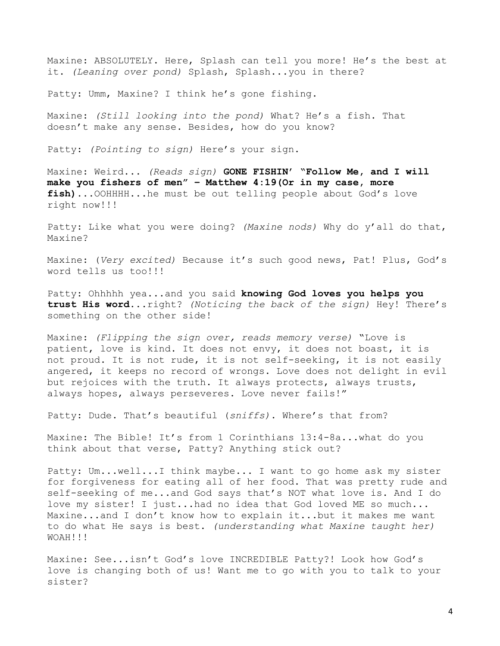Maxine: ABSOLUTELY. Here, Splash can tell you more! He's the best at it. *(Leaning over pond)* Splash, Splash...you in there?

Patty: Umm, Maxine? I think he's gone fishing.

Maxine: *(Still looking into the pond)* What? He's a fish. That doesn't make any sense. Besides, how do you know?

Patty: *(Pointing to sign)* Here's your sign.

Maxine: Weird... *(Reads sign)* **GONE FISHIN' "Follow Me, and I will make you fishers of men" – Matthew 4:19(Or in my case, more fish)...**OOHHHH...he must be out telling people about God's love right now!!!

Patty: Like what you were doing? *(Maxine nods)* Why do y'all do that, Maxine?

Maxine: (*Very excited)* Because it's such good news, Pat! Plus, God's word tells us too!!!

Patty: Ohhhhh yea...and you said **knowing God loves you helps you trust His word**...right? *(Noticing the back of the sign)* Hey! There's something on the other side!

Maxine: *(Flipping the sign over, reads memory verse)* "Love is patient, love is kind. It does not envy, it does not boast, it is not proud. It is not rude, it is not self-seeking, it is not easily angered, it keeps no record of wrongs. Love does not delight in evil but rejoices with the truth. It always protects, always trusts, always hopes, always perseveres. Love never fails!"

Patty: Dude. That's beautiful (*sniffs)*. Where's that from?

Maxine: The Bible! It's from 1 Corinthians 13:4-8a...what do you think about that verse, Patty? Anything stick out?

Patty: Um...well...I think maybe... I want to go home ask my sister for forgiveness for eating all of her food. That was pretty rude and self-seeking of me...and God says that's NOT what love is. And I do love my sister! I just...had no idea that God loved ME so much... Maxine...and I don't know how to explain it...but it makes me want to do what He says is best. *(understanding what Maxine taught her)* WOAH!!!

Maxine: See...isn't God's love INCREDIBLE Patty?! Look how God's love is changing both of us! Want me to go with you to talk to your sister?